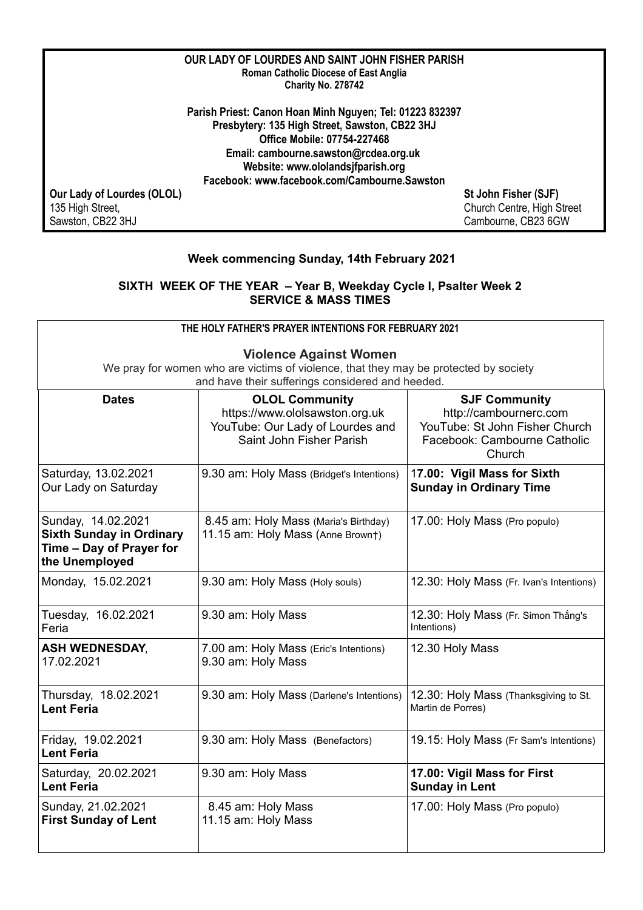| OUR LADY OF LOURDES AND SAINT JOHN FISHER PARISH<br><b>Roman Catholic Diocese of East Anglia</b><br>Charity No. 278742                                                                                                                                                                                                                                |                                                                           |
|-------------------------------------------------------------------------------------------------------------------------------------------------------------------------------------------------------------------------------------------------------------------------------------------------------------------------------------------------------|---------------------------------------------------------------------------|
| Parish Priest: Canon Hoan Minh Nguyen; Tel: 01223 832397<br>Presbytery: 135 High Street, Sawston, CB22 3HJ<br><b>Office Mobile: 07754-227468</b><br>Email: cambourne.sawston@rcdea.org.uk<br>Website: www.ololandsjfparish.org<br>Facebook: www.facebook.com/Cambourne.Sawston<br>Our Lady of Lourdes (OLOL)<br>135 High Street,<br>Sawston, CB22 3HJ | St John Fisher (SJF)<br>Church Centre, High Street<br>Cambourne, CB23 6GW |

# **Week commencing Sunday, 14th February 2021**

### **SIXTH WEEK OF THE YEAR – Year B, Weekday Cycle I, Psalter Week 2 SERVICE & MASS TIMES**

| THE HOLY FATHER'S PRAYER INTENTIONS FOR FEBRUARY 2021                                                                                                                     |                                                                                                                         |                                                                                                                            |  |
|---------------------------------------------------------------------------------------------------------------------------------------------------------------------------|-------------------------------------------------------------------------------------------------------------------------|----------------------------------------------------------------------------------------------------------------------------|--|
| <b>Violence Against Women</b><br>We pray for women who are victims of violence, that they may be protected by society<br>and have their sufferings considered and heeded. |                                                                                                                         |                                                                                                                            |  |
| <b>Dates</b>                                                                                                                                                              | <b>OLOL Community</b><br>https://www.ololsawston.org.uk<br>YouTube: Our Lady of Lourdes and<br>Saint John Fisher Parish | <b>SJF Community</b><br>http://cambournerc.com<br>YouTube: St John Fisher Church<br>Facebook: Cambourne Catholic<br>Church |  |
| Saturday, 13.02.2021<br>Our Lady on Saturday                                                                                                                              | 9.30 am: Holy Mass (Bridget's Intentions)                                                                               | 17.00: Vigil Mass for Sixth<br><b>Sunday in Ordinary Time</b>                                                              |  |
| Sunday, 14.02.2021<br><b>Sixth Sunday in Ordinary</b><br>Time - Day of Prayer for<br>the Unemployed                                                                       | 8.45 am: Holy Mass (Maria's Birthday)<br>11.15 am: Holy Mass (Anne Brownt)                                              | 17.00: Holy Mass (Pro populo)                                                                                              |  |
| Monday, 15.02.2021                                                                                                                                                        | 9.30 am: Holy Mass (Holy souls)                                                                                         | 12.30: Holy Mass (Fr. Ivan's Intentions)                                                                                   |  |
| Tuesday, 16.02.2021<br>Feria                                                                                                                                              | 9.30 am: Holy Mass                                                                                                      | 12.30: Holy Mass (Fr. Simon Thắng's<br>Intentions)                                                                         |  |
| <b>ASH WEDNESDAY,</b><br>17.02.2021                                                                                                                                       | 7.00 am: Holy Mass (Eric's Intentions)<br>9.30 am: Holy Mass                                                            | 12.30 Holy Mass                                                                                                            |  |
| Thursday, 18.02.2021<br><b>Lent Feria</b>                                                                                                                                 | 9.30 am: Holy Mass (Darlene's Intentions)                                                                               | 12.30: Holy Mass (Thanksgiving to St.<br>Martin de Porres)                                                                 |  |
| Friday, 19.02.2021<br><b>Lent Feria</b>                                                                                                                                   | 9.30 am: Holy Mass (Benefactors)                                                                                        | 19.15: Holy Mass (Fr Sam's Intentions)                                                                                     |  |
| Saturday, 20.02.2021<br><b>Lent Feria</b>                                                                                                                                 | 9.30 am: Holy Mass                                                                                                      | 17.00: Vigil Mass for First<br><b>Sunday in Lent</b>                                                                       |  |
| Sunday, 21.02.2021<br><b>First Sunday of Lent</b>                                                                                                                         | 8.45 am: Holy Mass<br>11.15 am: Holy Mass                                                                               | 17.00: Holy Mass (Pro populo)                                                                                              |  |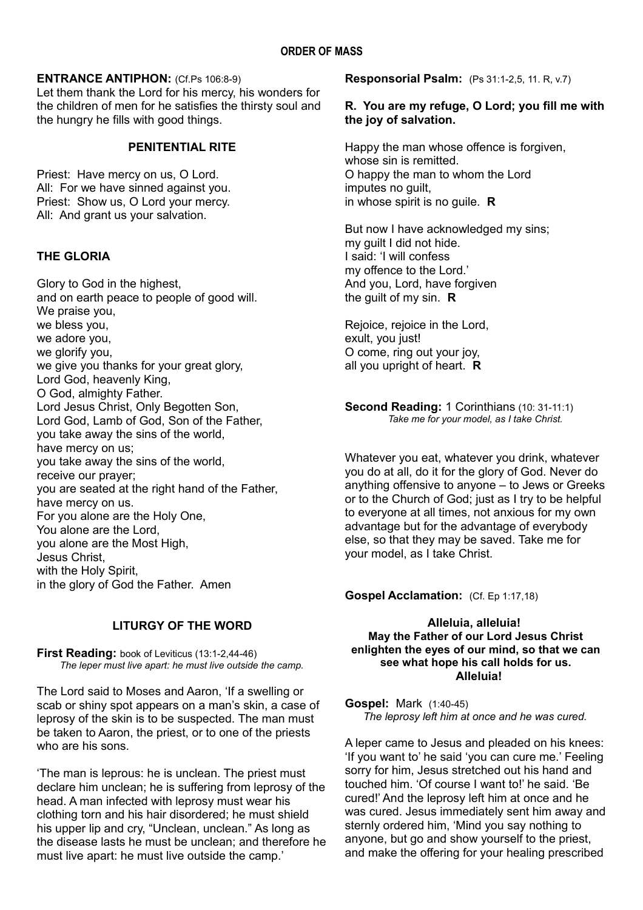**ENTRANCE ANTIPHON:** (Cf.Ps 106:8-9) Let them thank the Lord for his mercy, his wonders for the children of men for he satisfies the thirsty soul and the hungry he fills with good things.

## **PENITENTIAL RITE**

Priest: Have mercy on us, O Lord. All: For we have sinned against you. Priest: Show us, O Lord your mercy. All:And grant us your salvation.

# **THE GLORIA**

Glory to God in the highest, and on earth peace to people of good will. We praise you, we bless you, we adore you, we glorify you, we give you thanks for your great glory, Lord God, heavenly King, O God, almighty Father. Lord Jesus Christ, Only Begotten Son, Lord God, Lamb of God, Son of the Father, you take away the sins of the world, have mercy on us; you take away the sins of the world, receive our prayer; you are seated at the right hand of the Father, have mercy on us. For you alone are the Holy One, You alone are the Lord, you alone are the Most High, Jesus Christ, with the Holy Spirit, in the glory of God the Father. Amen

## **LITURGY OF THE WORD**

**First Reading:** book of Leviticus (13:1-2,44-46) *The leper must live apart: he must live outside the camp.*

The Lord said to Moses and Aaron, 'If a swelling or scab or shiny spot appears on a man's skin, a case of leprosy of the skin is to be suspected. The man must be taken to Aaron, the priest, or to one of the priests who are his sons.

'The man is leprous: he is unclean. The priest must declare him unclean; he is suffering from leprosy of the head. A man infected with leprosy must wear his clothing torn and his hair disordered; he must shield his upper lip and cry, "Unclean, unclean." As long as the disease lasts he must be unclean; and therefore he must live apart: he must live outside the camp.'

**Responsorial Psalm:** (Ps 31:1-2,5, 11. R, v.7)

### **R. You are my refuge, O Lord; you fill me with the joy of salvation.**

Happy the man whose offence is forgiven, whose sin is remitted. O happy the man to whom the Lord imputes no guilt, in whose spirit is no guile. **R**

But now I have acknowledged my sins; my guilt I did not hide. I said: 'I will confess my offence to the Lord.' And you, Lord, have forgiven the guilt of my sin. **R**

Rejoice, rejoice in the Lord, exult, you just! O come, ring out your joy, all you upright of heart. **R**

**Second Reading:** 1 Corinthians (10: 31-11:1) *Take me for your model, as I take Christ.*

Whatever you eat, whatever you drink, whatever you do at all, do it for the glory of God. Never do anything offensive to anyone – to Jews or Greeks or to the Church of God; just as I try to be helpful to everyone at all times, not anxious for my own advantage but for the advantage of everybody else, so that they may be saved. Take me for your model, as I take Christ.

**Gospel Acclamation:** (Cf. Ep 1:17,18)

#### **Alleluia, alleluia! May the Father of our Lord Jesus Christ enlighten the eyes of our mind, so that we can see what hope his call holds for us. Alleluia!**

**Gospel:** Mark(1:40-45) *The leprosy left him at once and he was cured.*

A leper came to Jesus and pleaded on his knees: 'If you want to' he said 'you can cure me.' Feeling sorry for him, Jesus stretched out his hand and touched him. 'Of course I want to!' he said. 'Be cured!' And the leprosy left him at once and he was cured. Jesus immediately sent him away and sternly ordered him, 'Mind you say nothing to anyone, but go and show yourself to the priest, and make the offering for your healing prescribed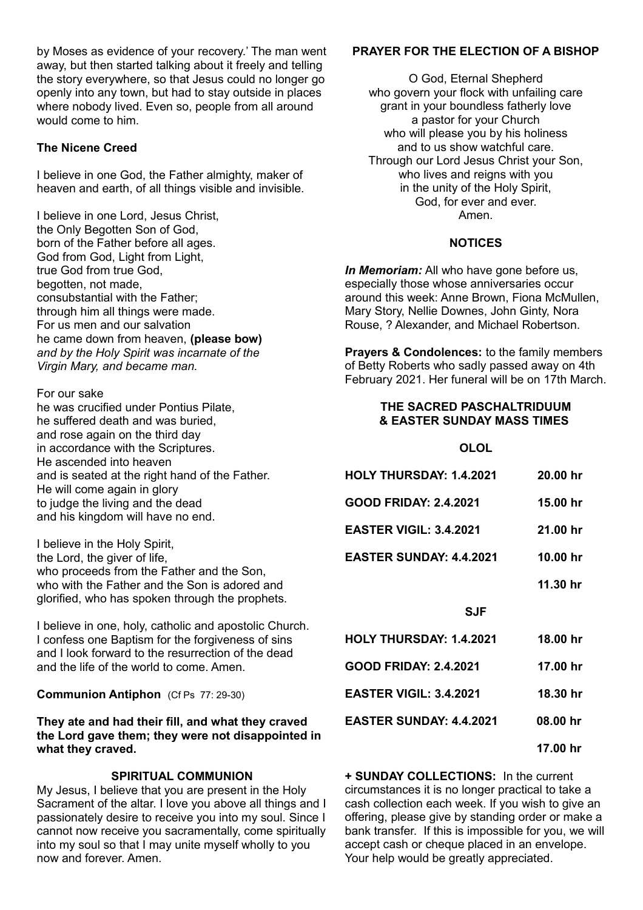by Moses as evidence of your recovery.' The man went away, but then started talking about it freely and telling the story everywhere, so that Jesus could no longer go openly into any town, but had to stay outside in places where nobody lived. Even so, people from all around would come to him.

# **The Nicene Creed**

I believe in one God, the Father almighty, maker of heaven and earth, of all things visible and invisible.

I believe in one Lord, Jesus Christ, the Only Begotten Son of God, born of the Father before all ages. God from God, Light from Light, true God from true God, begotten, not made, consubstantial with the Father; through him all things were made. For us men and our salvation he came down from heaven, **(please bow)** *and by the Holy Spirit was incarnate of the Virgin Mary, and became man.*

### For our sake

he was crucified under Pontius Pilate, he suffered death and was buried, and rose again on the third day in accordance with the Scriptures. He ascended into heaven and is seated at the right hand of the Father. He will come again in glory to judge the living and the dead and his kingdom will have no end.

I believe in the Holy Spirit, the Lord, the giver of life, who proceeds from the Father and the Son, who with the Father and the Son is adored and glorified, who has spoken through the prophets.

I believe in one, holy, catholic and apostolic Church. I confess one Baptism for the forgiveness of sins and I look forward to the resurrection of the dead and the life of the world to come. Amen.

**Communion Antiphon** (Cf Ps 77: 29-30)

### **They ate and had their fill, and what they craved the Lord gave them; they were not disappointed in what they craved.**

#### **SPIRITUAL COMMUNION**

My Jesus, I believe that you are present in the Holy Sacrament of the altar. I love you above all things and I passionately desire to receive you into my soul. Since I cannot now receive you sacramentally, come spiritually into my soul so that I may unite myself wholly to you now and forever. Amen.

# **PRAYER FOR THE ELECTION OF A BISHOP**

O God, Eternal Shepherd who govern your flock with unfailing care grant in your boundless fatherly love a pastor for your Church who will please you by his holiness and to us show watchful care. Through our Lord Jesus Christ your Son, who lives and reigns with you in the unity of the Holy Spirit, God, for ever and ever. Amen.

# **NOTICES**

*In Memoriam:* All who have gone before us, especially those whose anniversaries occur around this week: Anne Brown, Fiona McMullen, Mary Story, Nellie Downes, John Ginty, Nora Rouse, ? Alexander, and Michael Robertson.

**Prayers & Condolences:** to the family members of Betty Roberts who sadly passed away on 4th February 2021. Her funeral will be on 17th March.

## **THE SACRED PASCHALTRIDUUM & EASTER SUNDAY MASS TIMES**

### **OLOL**

| <b>HOLY THURSDAY: 1.4.2021</b> | 20.00 hr |
|--------------------------------|----------|
| <b>GOOD FRIDAY: 2.4.2021</b>   | 15.00 hr |
| <b>EASTER VIGIL: 3.4.2021</b>  | 21.00 hr |
| <b>EASTER SUNDAY: 4.4.2021</b> | 10.00 hr |
|                                | 11.30 hr |
| SJF                            |          |
| <b>HOLY THURSDAY: 1.4.2021</b> | 18.00 hr |
| <b>GOOD FRIDAY: 2.4.2021</b>   | 17.00 hr |
| <b>EASTER VIGIL: 3.4.2021</b>  | 18.30 hr |
| EASTER SUNDAY: 4.4.2021        | 08.00 hr |

**17.00 hr**

**+ SUNDAY COLLECTIONS:** In the current circumstances it is no longer practical to take a cash collection each week. If you wish to give an offering, please give by standing order or make a bank transfer. If this is impossible for you, we will accept cash or cheque placed in an envelope. Your help would be greatly appreciated.